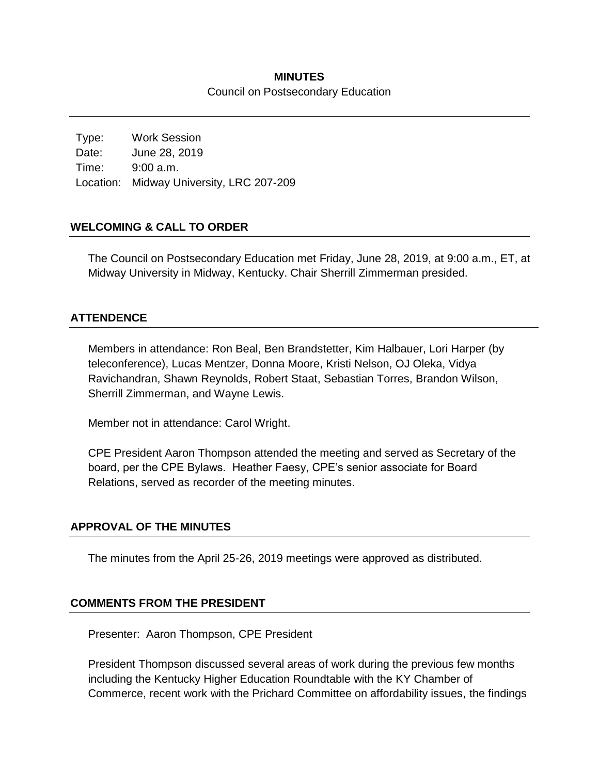### **MINUTES** Council on Postsecondary Education

Type: Work Session Date: June 28, 2019 Time: 9:00 a.m. Location: Midway University, LRC 207-209

### **WELCOMING & CALL TO ORDER**

The Council on Postsecondary Education met Friday, June 28, 2019, at 9:00 a.m., ET, at Midway University in Midway, Kentucky. Chair Sherrill Zimmerman presided.

#### **ATTENDENCE**

Members in attendance: Ron Beal, Ben Brandstetter, Kim Halbauer, Lori Harper (by teleconference), Lucas Mentzer, Donna Moore, Kristi Nelson, OJ Oleka, Vidya Ravichandran, Shawn Reynolds, Robert Staat, Sebastian Torres, Brandon Wilson, Sherrill Zimmerman, and Wayne Lewis.

Member not in attendance: Carol Wright.

CPE President Aaron Thompson attended the meeting and served as Secretary of the board, per the CPE Bylaws. Heather Faesy, CPE's senior associate for Board Relations, served as recorder of the meeting minutes.

#### **APPROVAL OF THE MINUTES**

The minutes from the April 25-26, 2019 meetings were approved as distributed.

#### **COMMENTS FROM THE PRESIDENT**

Presenter: Aaron Thompson, CPE President

President Thompson discussed several areas of work during the previous few months including the Kentucky Higher Education Roundtable with the KY Chamber of Commerce, recent work with the Prichard Committee on affordability issues, the findings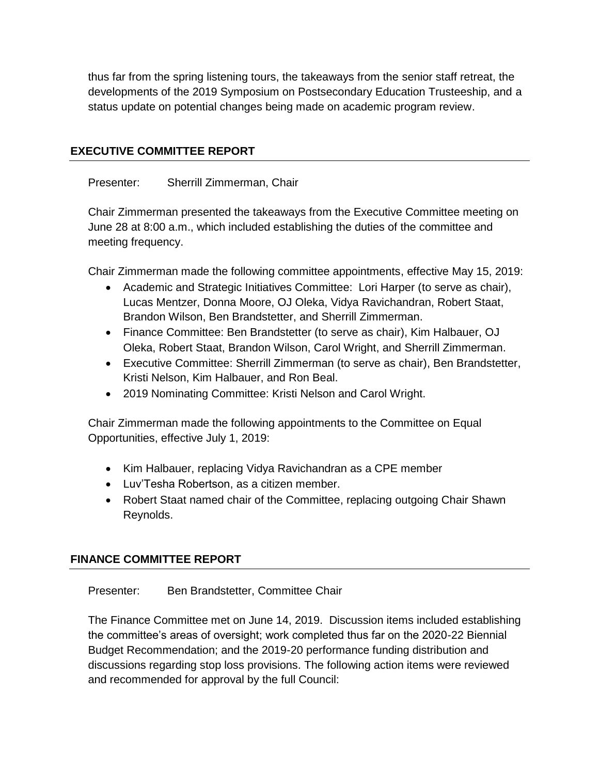thus far from the spring listening tours, the takeaways from the senior staff retreat, the developments of the 2019 Symposium on Postsecondary Education Trusteeship, and a status update on potential changes being made on academic program review.

### **EXECUTIVE COMMITTEE REPORT**

Presenter: Sherrill Zimmerman, Chair

Chair Zimmerman presented the takeaways from the Executive Committee meeting on June 28 at 8:00 a.m., which included establishing the duties of the committee and meeting frequency.

Chair Zimmerman made the following committee appointments, effective May 15, 2019:

- Academic and Strategic Initiatives Committee: Lori Harper (to serve as chair), Lucas Mentzer, Donna Moore, OJ Oleka, Vidya Ravichandran, Robert Staat, Brandon Wilson, Ben Brandstetter, and Sherrill Zimmerman.
- Finance Committee: Ben Brandstetter (to serve as chair), Kim Halbauer, OJ Oleka, Robert Staat, Brandon Wilson, Carol Wright, and Sherrill Zimmerman.
- Executive Committee: Sherrill Zimmerman (to serve as chair), Ben Brandstetter, Kristi Nelson, Kim Halbauer, and Ron Beal.
- 2019 Nominating Committee: Kristi Nelson and Carol Wright.

Chair Zimmerman made the following appointments to the Committee on Equal Opportunities, effective July 1, 2019:

- Kim Halbauer, replacing Vidya Ravichandran as a CPE member
- Luv'Tesha Robertson, as a citizen member.
- Robert Staat named chair of the Committee, replacing outgoing Chair Shawn Reynolds.

### **FINANCE COMMITTEE REPORT**

Presenter: Ben Brandstetter, Committee Chair

The Finance Committee met on June 14, 2019. Discussion items included establishing the committee's areas of oversight; work completed thus far on the 2020-22 Biennial Budget Recommendation; and the 2019-20 performance funding distribution and discussions regarding stop loss provisions. The following action items were reviewed and recommended for approval by the full Council: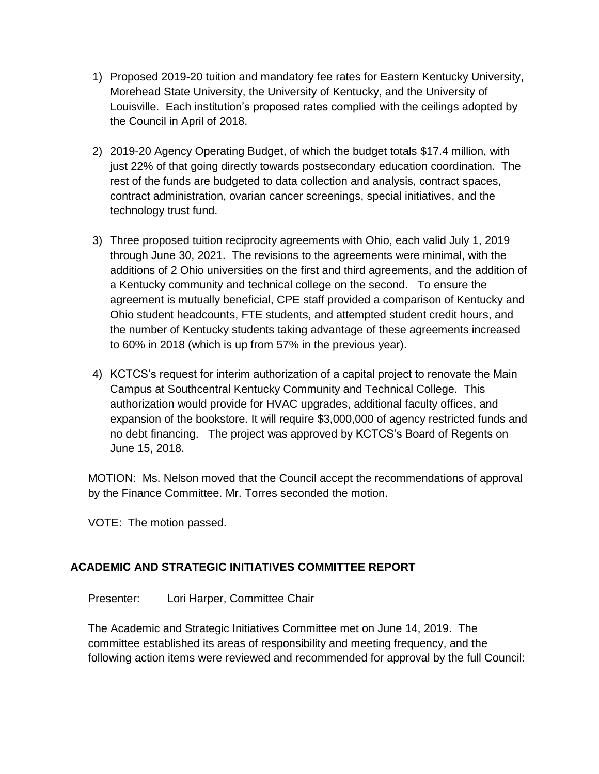- 1) Proposed 2019-20 tuition and mandatory fee rates for Eastern Kentucky University, Morehead State University, the University of Kentucky, and the University of Louisville. Each institution's proposed rates complied with the ceilings adopted by the Council in April of 2018.
- 2) 2019-20 Agency Operating Budget, of which the budget totals \$17.4 million, with just 22% of that going directly towards postsecondary education coordination. The rest of the funds are budgeted to data collection and analysis, contract spaces, contract administration, ovarian cancer screenings, special initiatives, and the technology trust fund.
- 3) Three proposed tuition reciprocity agreements with Ohio, each valid July 1, 2019 through June 30, 2021. The revisions to the agreements were minimal, with the additions of 2 Ohio universities on the first and third agreements, and the addition of a Kentucky community and technical college on the second. To ensure the agreement is mutually beneficial, CPE staff provided a comparison of Kentucky and Ohio student headcounts, FTE students, and attempted student credit hours, and the number of Kentucky students taking advantage of these agreements increased to 60% in 2018 (which is up from 57% in the previous year).
- 4) KCTCS's request for interim authorization of a capital project to renovate the Main Campus at Southcentral Kentucky Community and Technical College. This authorization would provide for HVAC upgrades, additional faculty offices, and expansion of the bookstore. It will require \$3,000,000 of agency restricted funds and no debt financing. The project was approved by KCTCS's Board of Regents on June 15, 2018.

MOTION: Ms. Nelson moved that the Council accept the recommendations of approval by the Finance Committee. Mr. Torres seconded the motion.

VOTE: The motion passed.

# **ACADEMIC AND STRATEGIC INITIATIVES COMMITTEE REPORT**

Presenter: Lori Harper, Committee Chair

The Academic and Strategic Initiatives Committee met on June 14, 2019. The committee established its areas of responsibility and meeting frequency, and the following action items were reviewed and recommended for approval by the full Council: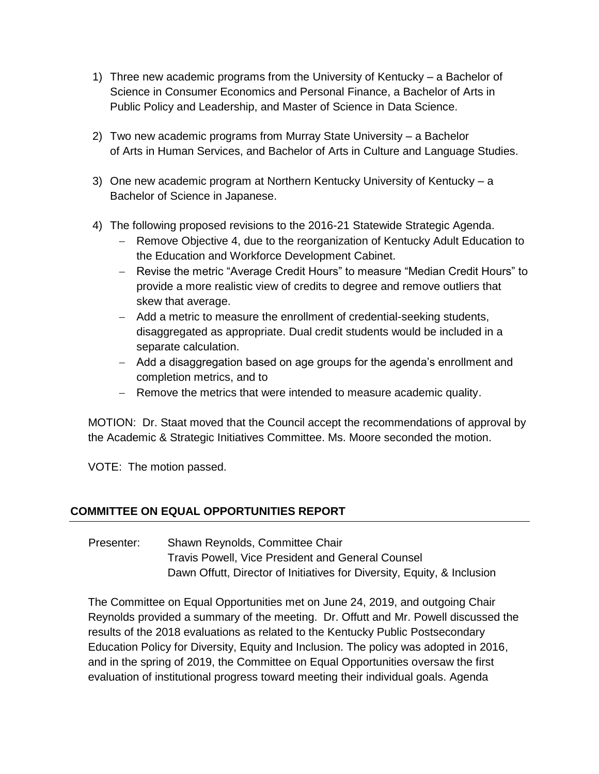- 1) Three new academic programs from the University of Kentucky a Bachelor of Science in Consumer Economics and Personal Finance, a Bachelor of Arts in Public Policy and Leadership, and Master of Science in Data Science.
- 2) Two new academic programs from Murray State University a Bachelor of Arts in Human Services, and Bachelor of Arts in Culture and Language Studies.
- 3) One new academic program at Northern Kentucky University of Kentucky a Bachelor of Science in Japanese.
- 4) The following proposed revisions to the 2016-21 Statewide Strategic Agenda.
	- Remove Objective 4, due to the reorganization of Kentucky Adult Education to the Education and Workforce Development Cabinet.
	- Revise the metric "Average Credit Hours" to measure "Median Credit Hours" to provide a more realistic view of credits to degree and remove outliers that skew that average.
	- Add a metric to measure the enrollment of credential-seeking students, disaggregated as appropriate. Dual credit students would be included in a separate calculation.
	- Add a disaggregation based on age groups for the agenda's enrollment and completion metrics, and to
	- Remove the metrics that were intended to measure academic quality.

MOTION: Dr. Staat moved that the Council accept the recommendations of approval by the Academic & Strategic Initiatives Committee. Ms. Moore seconded the motion.

VOTE: The motion passed.

# **COMMITTEE ON EQUAL OPPORTUNITIES REPORT**

Presenter: Shawn Reynolds, Committee Chair Travis Powell, Vice President and General Counsel Dawn Offutt, Director of Initiatives for Diversity, Equity, & Inclusion

The Committee on Equal Opportunities met on June 24, 2019, and outgoing Chair Reynolds provided a summary of the meeting. Dr. Offutt and Mr. Powell discussed the results of the 2018 evaluations as related to the Kentucky Public Postsecondary Education Policy for Diversity, Equity and Inclusion. The policy was adopted in 2016, and in the spring of 2019, the Committee on Equal Opportunities oversaw the first evaluation of institutional progress toward meeting their individual goals. Agenda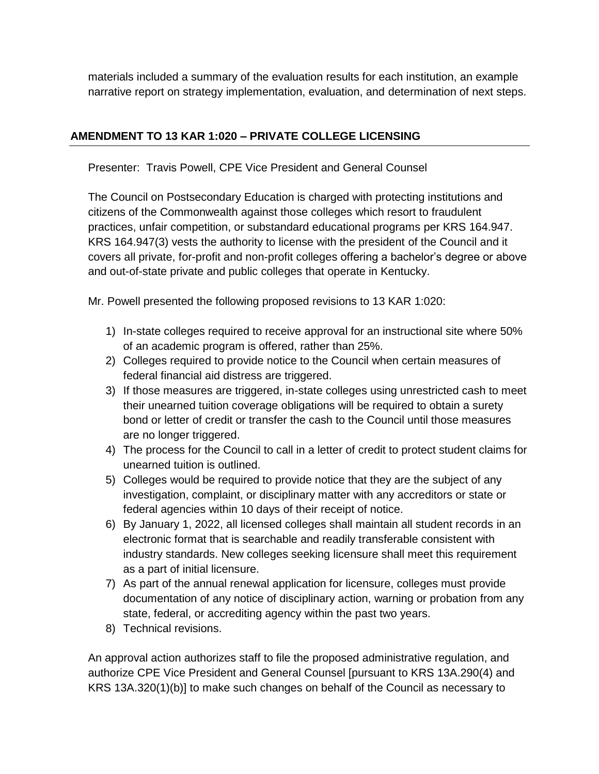materials included a summary of the evaluation results for each institution, an example narrative report on strategy implementation, evaluation, and determination of next steps.

# **AMENDMENT TO 13 KAR 1:020 – PRIVATE COLLEGE LICENSING**

Presenter: Travis Powell, CPE Vice President and General Counsel

The Council on Postsecondary Education is charged with protecting institutions and citizens of the Commonwealth against those colleges which resort to fraudulent practices, unfair competition, or substandard educational programs per KRS 164.947. KRS 164.947(3) vests the authority to license with the president of the Council and it covers all private, for-profit and non-profit colleges offering a bachelor's degree or above and out-of-state private and public colleges that operate in Kentucky.

Mr. Powell presented the following proposed revisions to 13 KAR 1:020:

- 1) In-state colleges required to receive approval for an instructional site where 50% of an academic program is offered, rather than 25%.
- 2) Colleges required to provide notice to the Council when certain measures of federal financial aid distress are triggered.
- 3) If those measures are triggered, in-state colleges using unrestricted cash to meet their unearned tuition coverage obligations will be required to obtain a surety bond or letter of credit or transfer the cash to the Council until those measures are no longer triggered.
- 4) The process for the Council to call in a letter of credit to protect student claims for unearned tuition is outlined.
- 5) Colleges would be required to provide notice that they are the subject of any investigation, complaint, or disciplinary matter with any accreditors or state or federal agencies within 10 days of their receipt of notice.
- 6) By January 1, 2022, all licensed colleges shall maintain all student records in an electronic format that is searchable and readily transferable consistent with industry standards. New colleges seeking licensure shall meet this requirement as a part of initial licensure.
- 7) As part of the annual renewal application for licensure, colleges must provide documentation of any notice of disciplinary action, warning or probation from any state, federal, or accrediting agency within the past two years.
- 8) Technical revisions.

An approval action authorizes staff to file the proposed administrative regulation, and authorize CPE Vice President and General Counsel [pursuant to KRS 13A.290(4) and KRS 13A.320(1)(b)] to make such changes on behalf of the Council as necessary to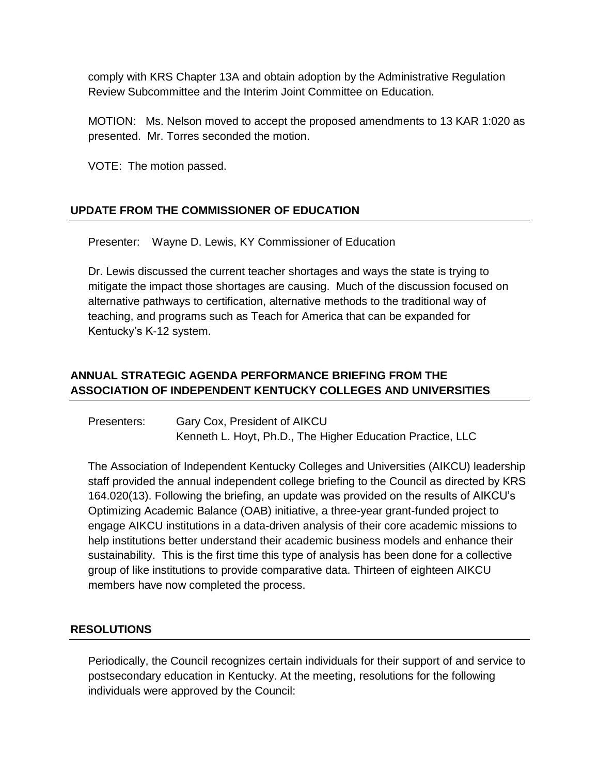comply with KRS Chapter 13A and obtain adoption by the Administrative Regulation Review Subcommittee and the Interim Joint Committee on Education.

MOTION: Ms. Nelson moved to accept the proposed amendments to 13 KAR 1:020 as presented. Mr. Torres seconded the motion.

VOTE: The motion passed.

# **UPDATE FROM THE COMMISSIONER OF EDUCATION**

Presenter: Wayne D. Lewis, KY Commissioner of Education

Dr. Lewis discussed the current teacher shortages and ways the state is trying to mitigate the impact those shortages are causing. Much of the discussion focused on alternative pathways to certification, alternative methods to the traditional way of teaching, and programs such as Teach for America that can be expanded for Kentucky's K-12 system.

# **ANNUAL STRATEGIC AGENDA PERFORMANCE BRIEFING FROM THE ASSOCIATION OF INDEPENDENT KENTUCKY COLLEGES AND UNIVERSITIES**

Presenters: Gary Cox, President of AIKCU Kenneth L. Hoyt, Ph.D., The Higher Education Practice, LLC

The Association of Independent Kentucky Colleges and Universities (AIKCU) leadership staff provided the annual independent college briefing to the Council as directed by KRS 164.020(13). Following the briefing, an update was provided on the results of AIKCU's Optimizing Academic Balance (OAB) initiative, a three-year grant-funded project to engage AIKCU institutions in a data-driven analysis of their core academic missions to help institutions better understand their academic business models and enhance their sustainability. This is the first time this type of analysis has been done for a collective group of like institutions to provide comparative data. Thirteen of eighteen AIKCU members have now completed the process.

# **RESOLUTIONS**

Periodically, the Council recognizes certain individuals for their support of and service to postsecondary education in Kentucky. At the meeting, resolutions for the following individuals were approved by the Council: